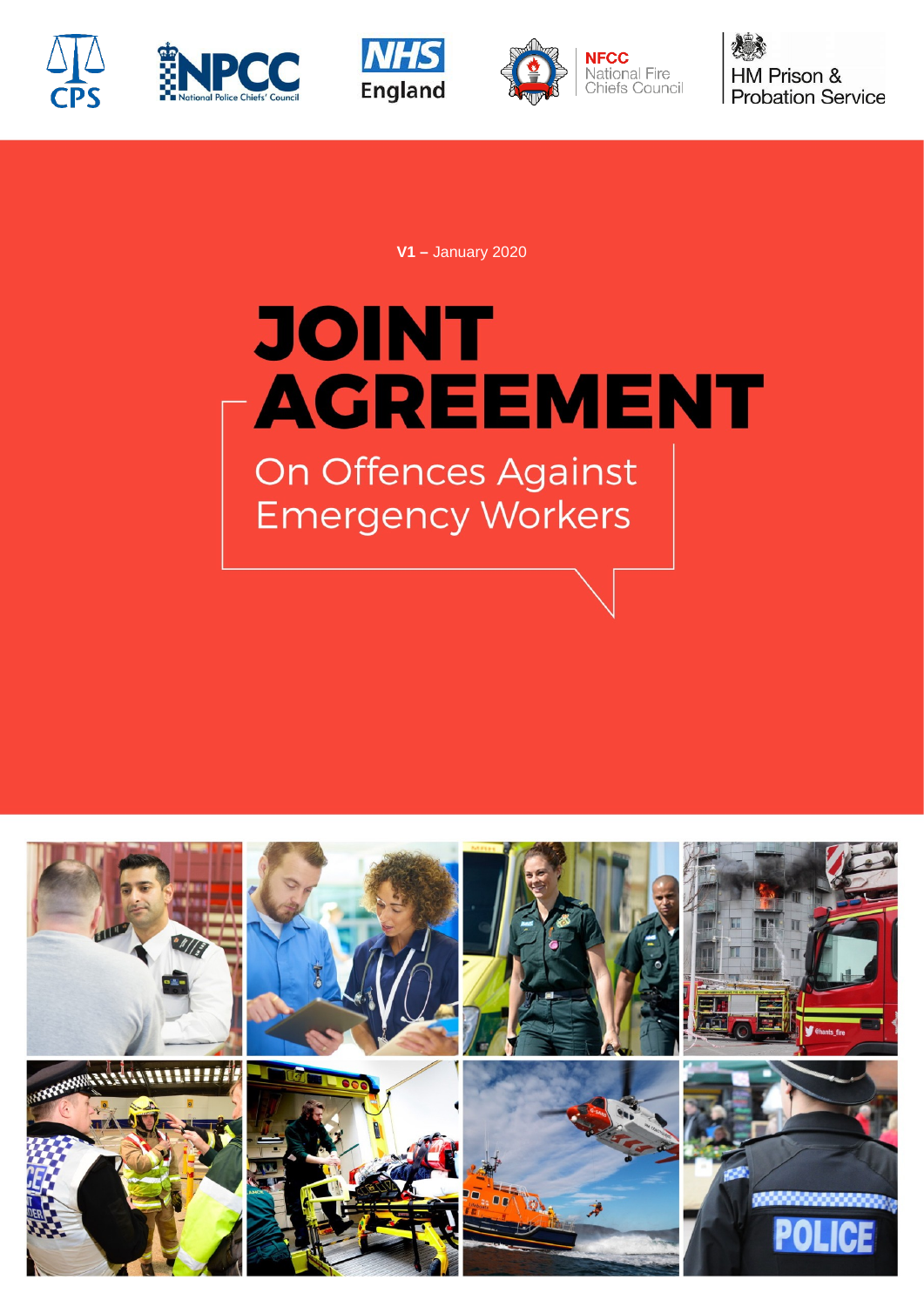







HM Prison & **Probation Service** 

**V1 –** January 2020

# **JOINT AGREEMENT** On Offences Against **Emergency Workers**

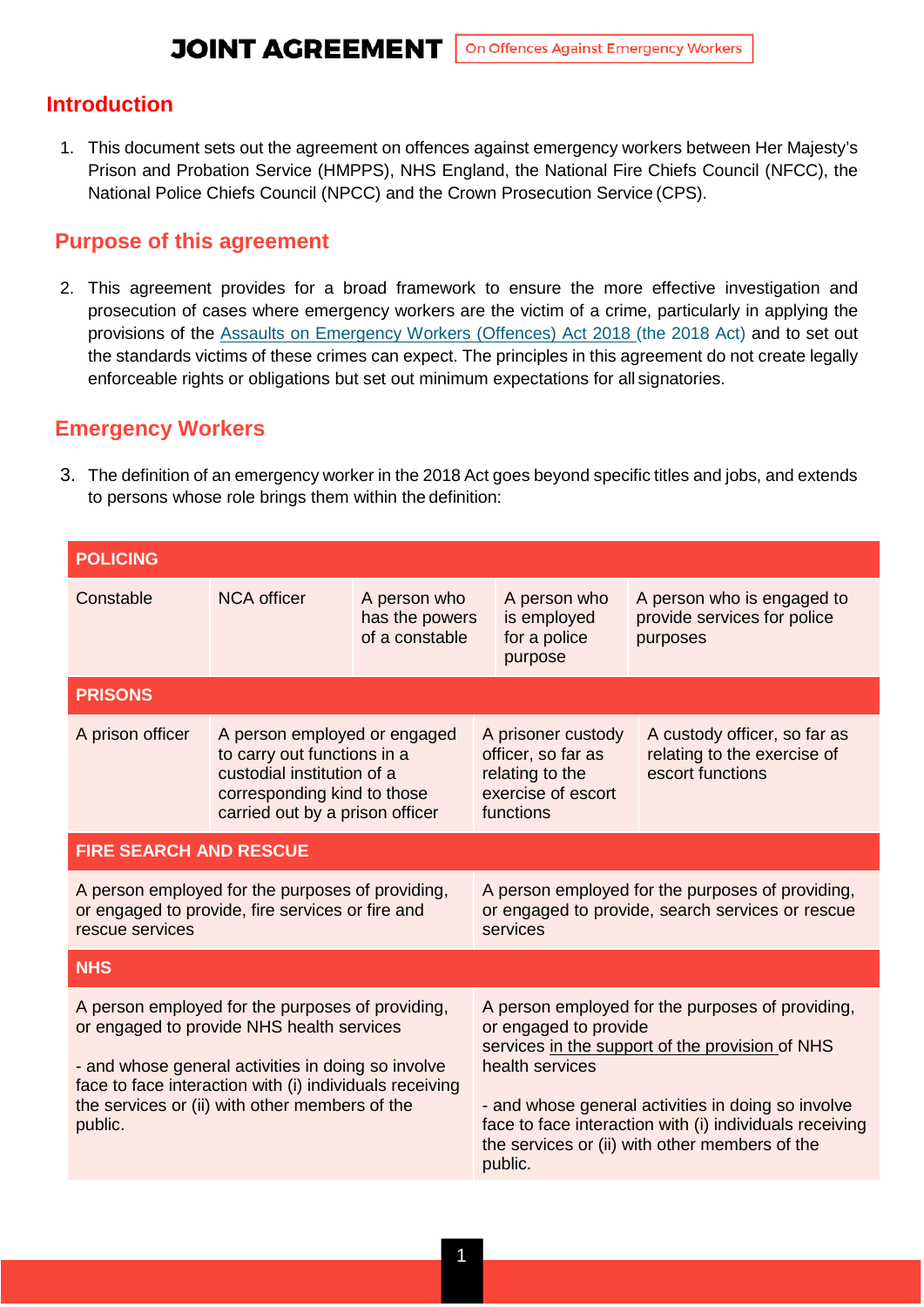#### **Introduction**

1. This document sets out the agreement on offences against emergency workers between Her Majesty's Prison and Probation Service (HMPPS), NHS England, the National Fire Chiefs Council (NFCC), the National Police Chiefs Council (NPCC) and the Crown Prosecution Service (CPS).

#### **Purpose of this agreement**

2. This agreement provides for a broad framework to ensure the more effective investigation and prosecution of cases where emergency workers are the victim of a crime, particularly in applying the provisions of the [Assaults on Emergency Workers \(Offences\) Act 2018 \(the 2018 Act\)](http://www.legislation.gov.uk/ukpga/2018/23/pdfs/ukpga_20180023_en.pdf) and to set out the standards victims of these crimes can expect. The principles in this agreement do not create legally enforceable rights or obligations but set out minimum expectations for all signatories.

## **Emergency Workers**

3. The definition of an emergency worker in the 2018 Act goes beyond specific titles and jobs, and extends to persons whose role brings them within the definition:

| <b>POLICING</b>                                                                                                                                                                                                                                                             |                                                                                                                                                             |                                                  |                                                                                                                                                                                                                                                                                                                               |                                                                                                |                                                                                 |
|-----------------------------------------------------------------------------------------------------------------------------------------------------------------------------------------------------------------------------------------------------------------------------|-------------------------------------------------------------------------------------------------------------------------------------------------------------|--------------------------------------------------|-------------------------------------------------------------------------------------------------------------------------------------------------------------------------------------------------------------------------------------------------------------------------------------------------------------------------------|------------------------------------------------------------------------------------------------|---------------------------------------------------------------------------------|
| Constable                                                                                                                                                                                                                                                                   | <b>NCA</b> officer                                                                                                                                          | A person who<br>has the powers<br>of a constable |                                                                                                                                                                                                                                                                                                                               | A person who<br>is employed<br>for a police<br>purpose                                         | A person who is engaged to<br>provide services for police<br>purposes           |
| <b>PRISONS</b>                                                                                                                                                                                                                                                              |                                                                                                                                                             |                                                  |                                                                                                                                                                                                                                                                                                                               |                                                                                                |                                                                                 |
| A prison officer                                                                                                                                                                                                                                                            | A person employed or engaged<br>to carry out functions in a<br>custodial institution of a<br>corresponding kind to those<br>carried out by a prison officer |                                                  |                                                                                                                                                                                                                                                                                                                               | A prisoner custody<br>officer, so far as<br>relating to the<br>exercise of escort<br>functions | A custody officer, so far as<br>relating to the exercise of<br>escort functions |
| <b>FIRE SEARCH AND RESCUE</b>                                                                                                                                                                                                                                               |                                                                                                                                                             |                                                  |                                                                                                                                                                                                                                                                                                                               |                                                                                                |                                                                                 |
| A person employed for the purposes of providing,<br>or engaged to provide, fire services or fire and<br>rescue services                                                                                                                                                     |                                                                                                                                                             |                                                  | A person employed for the purposes of providing,<br>or engaged to provide, search services or rescue<br>services                                                                                                                                                                                                              |                                                                                                |                                                                                 |
| <b>NHS</b>                                                                                                                                                                                                                                                                  |                                                                                                                                                             |                                                  |                                                                                                                                                                                                                                                                                                                               |                                                                                                |                                                                                 |
| A person employed for the purposes of providing,<br>or engaged to provide NHS health services<br>- and whose general activities in doing so involve<br>face to face interaction with (i) individuals receiving<br>the services or (ii) with other members of the<br>public. |                                                                                                                                                             |                                                  | A person employed for the purposes of providing,<br>or engaged to provide<br>services in the support of the provision of NHS<br>health services<br>- and whose general activities in doing so involve<br>face to face interaction with (i) individuals receiving<br>the services or (ii) with other members of the<br>public. |                                                                                                |                                                                                 |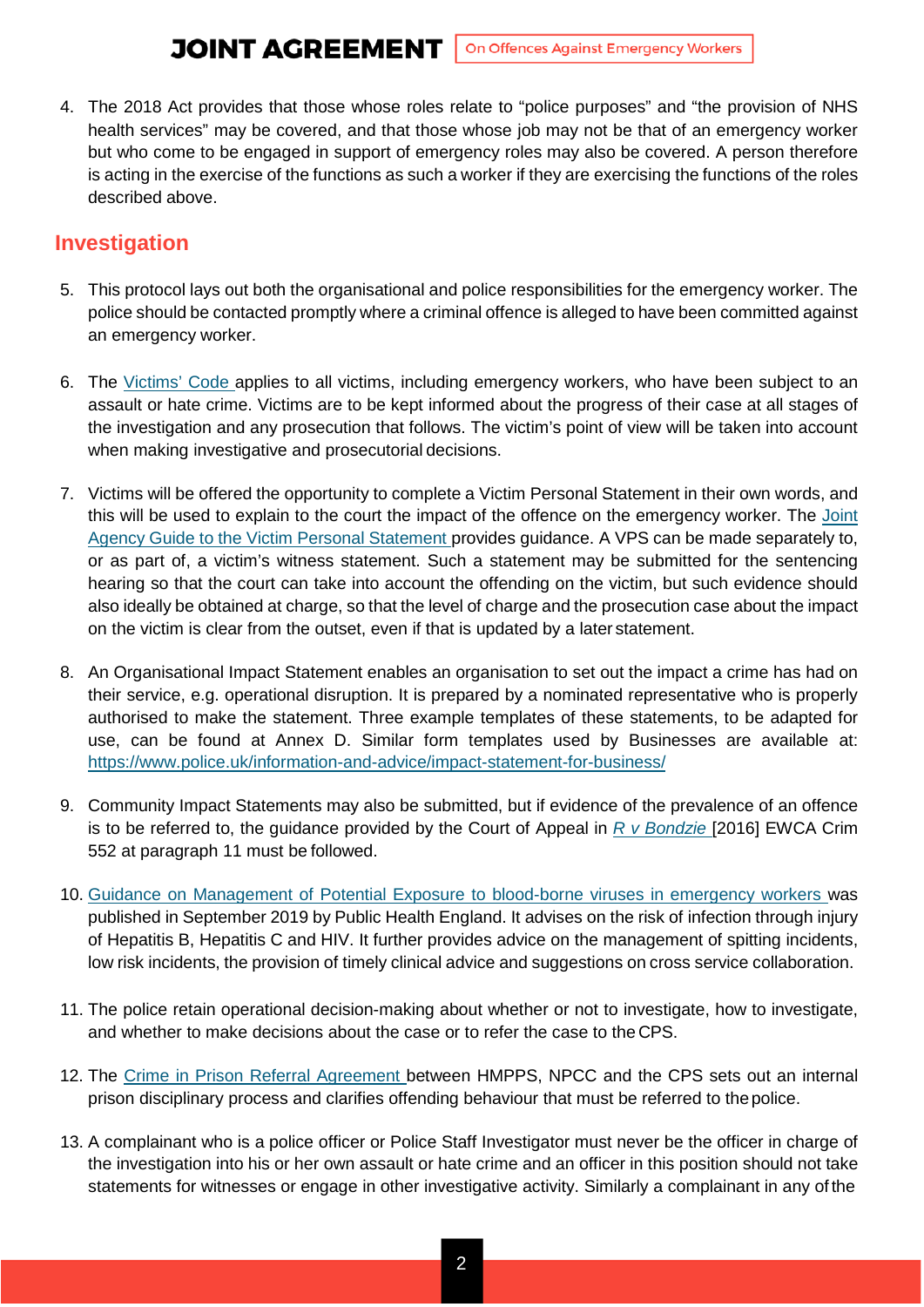4. The 2018 Act provides that those whose roles relate to "police purposes" and "the provision of NHS health services" may be covered, and that those whose job may not be that of an emergency worker but who come to be engaged in support of emergency roles may also be covered. A person therefore is acting in the exercise of the functions as such a worker if they are exercising the functions of the roles described above.

## **Investigation**

- 5. This protocol lays out both the organisational and police responsibilities for the emergency worker. The police should be contacted promptly where a criminal offence is alleged to have been committed against an emergency worker.
- 6. The [Victims' Code a](https://assets.publishing.service.gov.uk/government/uploads/system/uploads/attachment_data/file/476900/code-of-practice-for-victims-of-crime.PDF)pplies to all victims, including emergency workers, who have been subject to an assault or hate crime. Victims are to be kept informed about the progress of their case at all stages of the investigation and any prosecution that follows. The victim's point of view will be taken into account when making investigative and prosecutorial decisions.
- 7. Victims will be offered the opportunity to complete a Victim Personal Statement in their own words, and this will be used to explain to the court the impact of the offence on the emergency worker. The [Joint](https://www.cps.gov.uk/sites/default/files/documents/legal_guidance/joint-agency-guide-victim-personal-statement_0.pdf)  Agency Guide to the Victim Personal [Statement](https://www.cps.gov.uk/sites/default/files/documents/legal_guidance/joint-agency-guide-victim-personal-statement_0.pdf) provides guidance. A VPS can be made separately to, or as part of, a victim's witness statement. Such a statement may be submitted for the sentencing hearing so that the court can take into account the offending on the victim, but such evidence should also ideally be obtained at charge, so that the level of charge and the prosecution case about the impact on the victim is clear from the outset, even if that is updated by a later statement.
- 8. An Organisational Impact Statement enables an organisation to set out the impact a crime has had on their service, e.g. operational disruption. It is prepared by a nominated representative who is properly authorised to make the statement. Three example templates of these statements, to be adapted for use, can be found at Annex D. Similar form templates used by Businesses are available at: <https://www.police.uk/information-and-advice/impact-statement-for-business/>
- 9. Community Impact Statements may also be submitted, but if evidence of the prevalence of an offence is to be referred to, the guidance provided by the Court of Appeal in *[R v Bondzie](https://www.bailii.org/ew/cases/EWCA/Crim/2016/552.html)* [2016] EWCA Crim 552 at paragraph 11 must be followed.
- 10. [Guidance on Management of Potential Exposure to blood-borne viruses in emergency workers w](https://assets.publishing.service.gov.uk/government/uploads/system/uploads/attachment_data/file/835888/Guidance_on_management_of_potential_exposure_to_blood__2_.pdf)as published in September 2019 by Public Health England. It advises on the risk of infection through injury of Hepatitis B, Hepatitis C and HIV. It further provides advice on the management of spitting incidents, low risk incidents, the provision of timely clinical advice and suggestions on cross service collaboration.
- 11. The police retain operational decision-making about whether or not to investigate, how to investigate, and whether to make decisions about the case or to refer the case to the CPS.
- 12. The [Crime in Prison Referral Agreement b](https://assets.publishing.service.gov.uk/government/uploads/system/uploads/attachment_data/file/800040/Crime_in_Prison_Referral_Agreement_-_7_May_19.pdf)etween HMPPS, NPCC and the CPS sets out an internal prison disciplinary process and clarifies offending behaviour that must be referred to thepolice.
- 13. A complainant who is a police officer or Police Staff Investigator must never be the officer in charge of the investigation into his or her own assault or hate crime and an officer in this position should not take statements for witnesses or engage in other investigative activity. Similarly a complainant in any of the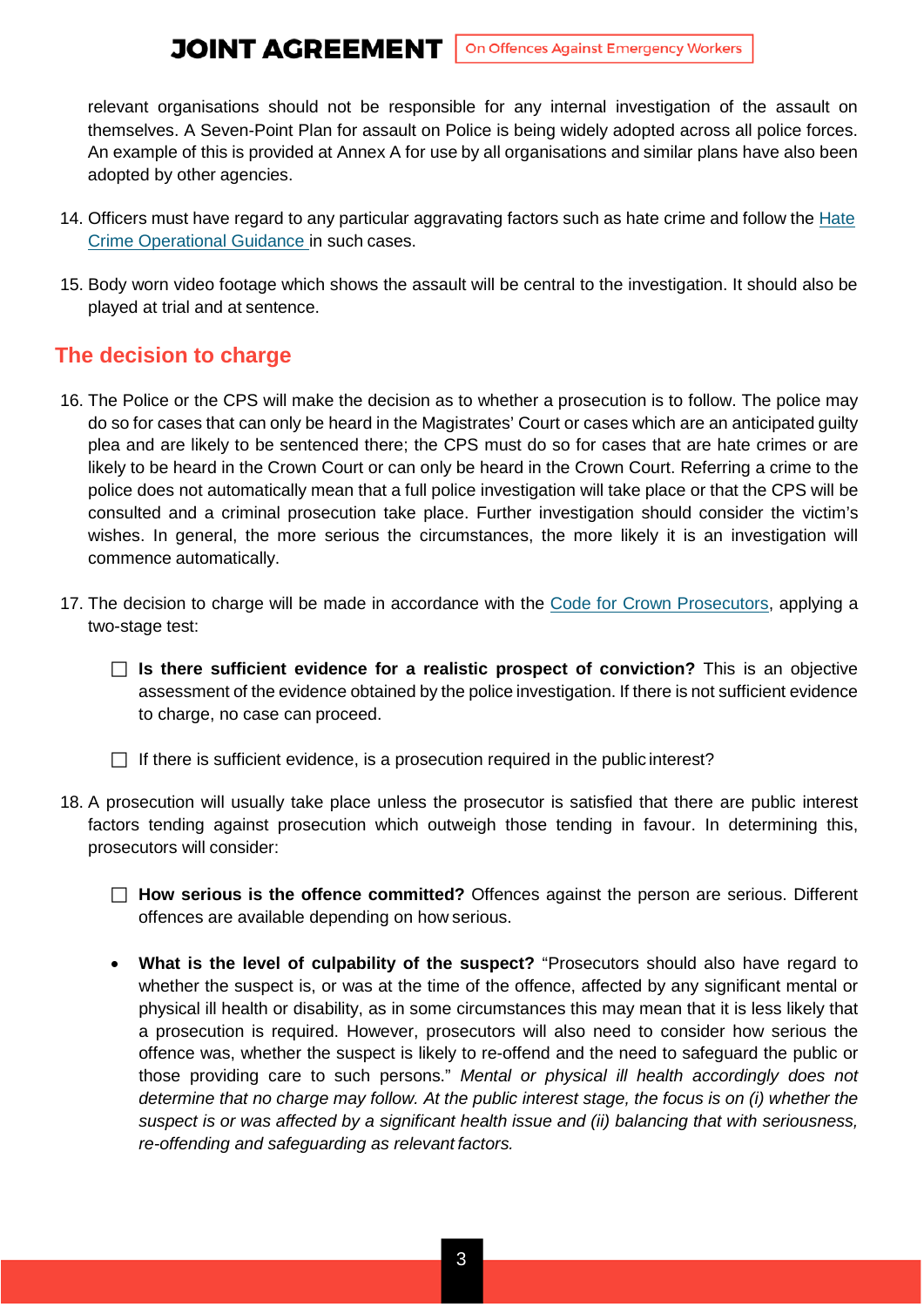relevant organisations should not be responsible for any internal investigation of the assault on themselves. A Seven-Point Plan for assault on Police is being widely adopted across all police forces. An example of this is provided at Annex A for use by all organisations and similar plans have also been adopted by other agencies.

- 14. Officers must have regard to any particular aggravating factors such as hate crime and follow the Hate [Crime Operational Guidance i](http://library.college.police.uk/docs/college-of-policing/Hate-Crime-Operational-Guidance.pdf)n such cases.
- 15. Body worn video footage which shows the assault will be central to the investigation. It should also be played at trial and at sentence.

## **The decision to charge**

- 16. The Police or the CPS will make the decision as to whether a prosecution is to follow. The police may do so for cases that can only be heard in the Magistrates' Court or cases which are an anticipated guilty plea and are likely to be sentenced there; the CPS must do so for cases that are hate crimes or are likely to be heard in the Crown Court or can only be heard in the Crown Court. Referring a crime to the police does not automatically mean that a full police investigation will take place or that the CPS will be consulted and a criminal prosecution take place. Further investigation should consider the victim's wishes. In general, the more serious the circumstances, the more likely it is an investigation will commence automatically.
- 17. The decision to charge will be made in accordance with the [Code for Crown Prosecutors,](https://www.cps.gov.uk/publication/code-crown-prosecutors) applying a two-stage test:
	- **Is there sufficient evidence for a realistic prospect of conviction?** This is an objective assessment of the evidence obtained by the police investigation. If there is not sufficient evidence to charge, no case can proceed.
	- $\Box$  If there is sufficient evidence, is a prosecution required in the public interest?
- 18. A prosecution will usually take place unless the prosecutor is satisfied that there are public interest factors tending against prosecution which outweigh those tending in favour. In determining this, prosecutors will consider:
	- **How serious is the offence committed?** Offences against the person are serious. Different offences are available depending on how serious.
	- **What is the level of culpability of the suspect?** "Prosecutors should also have regard to whether the suspect is, or was at the time of the offence, affected by any significant mental or physical ill health or disability, as in some circumstances this may mean that it is less likely that a prosecution is required. However, prosecutors will also need to consider how serious the offence was, whether the suspect is likely to re-offend and the need to safeguard the public or those providing care to such persons." *Mental or physical ill health accordingly does not determine that no charge may follow. At the public interest stage, the focus is on (i) whether the suspect is or was affected by a significant health issue and (ii) balancing that with seriousness, re-offending and safeguarding as relevant factors.*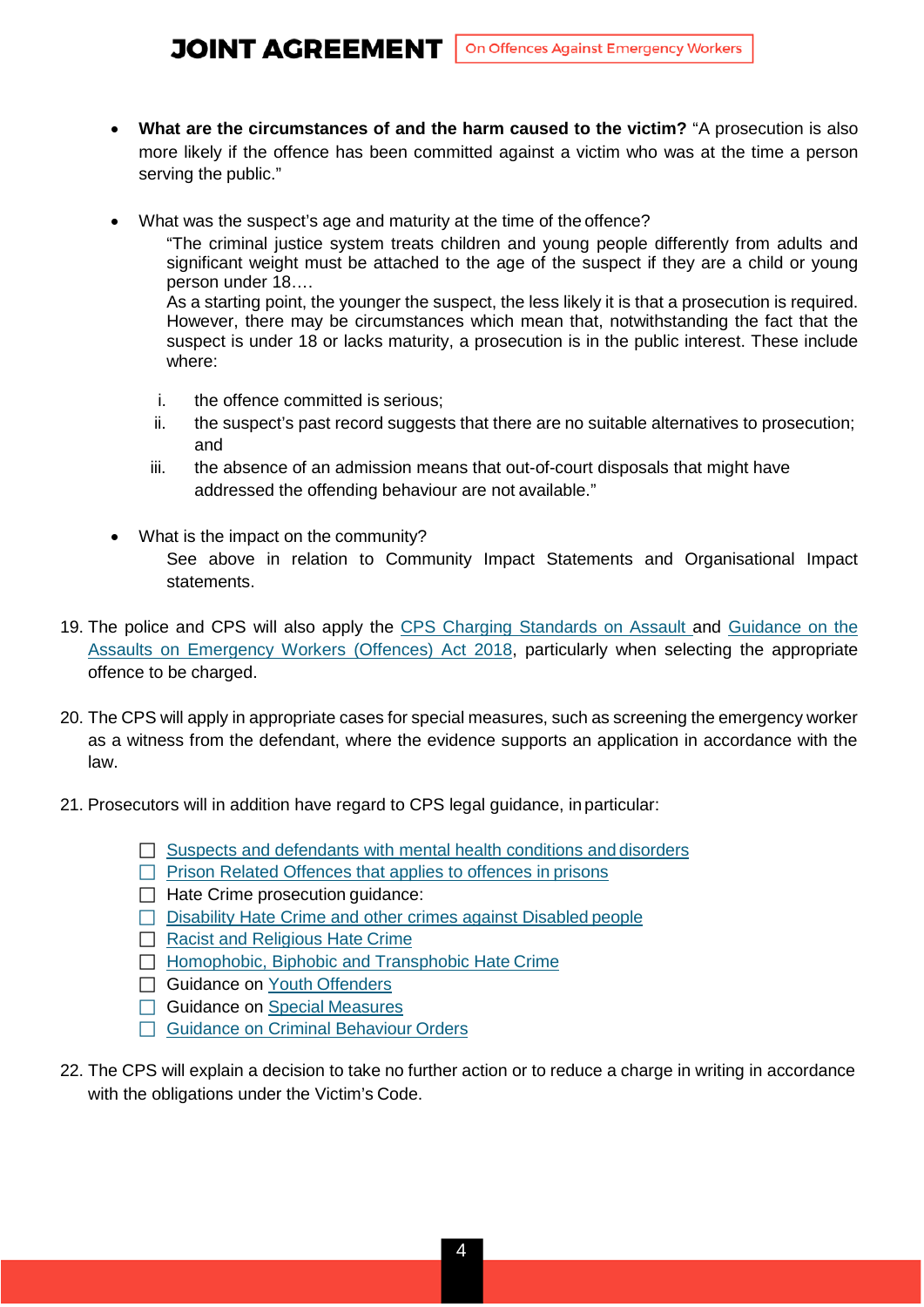- **What are the circumstances of and the harm caused to the victim?** "A prosecution is also more likely if the offence has been committed against a victim who was at the time a person serving the public."
- What was the suspect's age and maturity at the time of the offence?

"The criminal justice system treats children and young people differently from adults and significant weight must be attached to the age of the suspect if they are a child or young person under 18….

As a starting point, the younger the suspect, the less likely it is that a prosecution is required. However, there may be circumstances which mean that, notwithstanding the fact that the suspect is under 18 or lacks maturity, a prosecution is in the public interest. These include where:

- i. the offence committed is serious;
- ii. the suspect's past record suggests that there are no suitable alternatives to prosecution; and
- iii. the absence of an admission means that out-of-court disposals that might have addressed the offending behaviour are not available."
- What is the impact on the community? See above in relation to Community Impact Statements and Organisational Impact statements.
- 19. The police and CPS will also apply the [CPS Charging Standards on Assault a](https://www.cps.gov.uk/legal-guidance/offences-against-person-incorporating-charging-standard)nd Guidance on the [Assaults on Emergency Workers \(Offences\) Act 2018,](https://www.cps.gov.uk/legal-guidance/assaults-emergency-workers-offences-act-2018) particularly when selecting the appropriate offence to be charged.
- 20. The CPS will apply in appropriate cases for special measures, such as screening the emergency worker as a witness from the defendant, where the evidence supports an application in accordance with the law.
- 21. Prosecutors will in addition have regard to CPS legal guidance, in particular:
	- $\Box$  [Suspects and defendants with mental health conditions and](https://www.cps.gov.uk/legal-guidance/mental-health-suspects-and-defendants-mental-health-conditions-or-disorders) disorders
	- $\Box$  [Prison Related Offences](https://www.cps.gov.uk/legal-guidance/prison-related-offences-0) that applies to offences in prisons
	- $\Box$  Hate Crime prosecution guidance:
	- $\Box$  [Disability Hate Crime and other crimes against Disabled](https://www.cps.gov.uk/node/5677) people
	- $\Box$  [Racist and Religious Hate](https://www.cps.gov.uk/node/5827) Crime
	- $\Box$  [Homophobic, Biphobic and Transphobic Hate](https://www.cps.gov.uk/node/5745) Crime
	- □ Guidance on Youth [Offenders](https://www.cps.gov.uk/legal-guidance/youth-offenders)
	- □ Guidance on Special [Measures](https://www.cps.gov.uk/legal-guidance/special-measures)
	- □ Guidance on [Criminal Behaviour](https://www.cps.gov.uk/legal-guidance/criminal-behaviour-orders) Orders
- 22. The CPS will explain a decision to take no further action or to reduce a charge in writing in accordance with the obligations under the Victim's Code.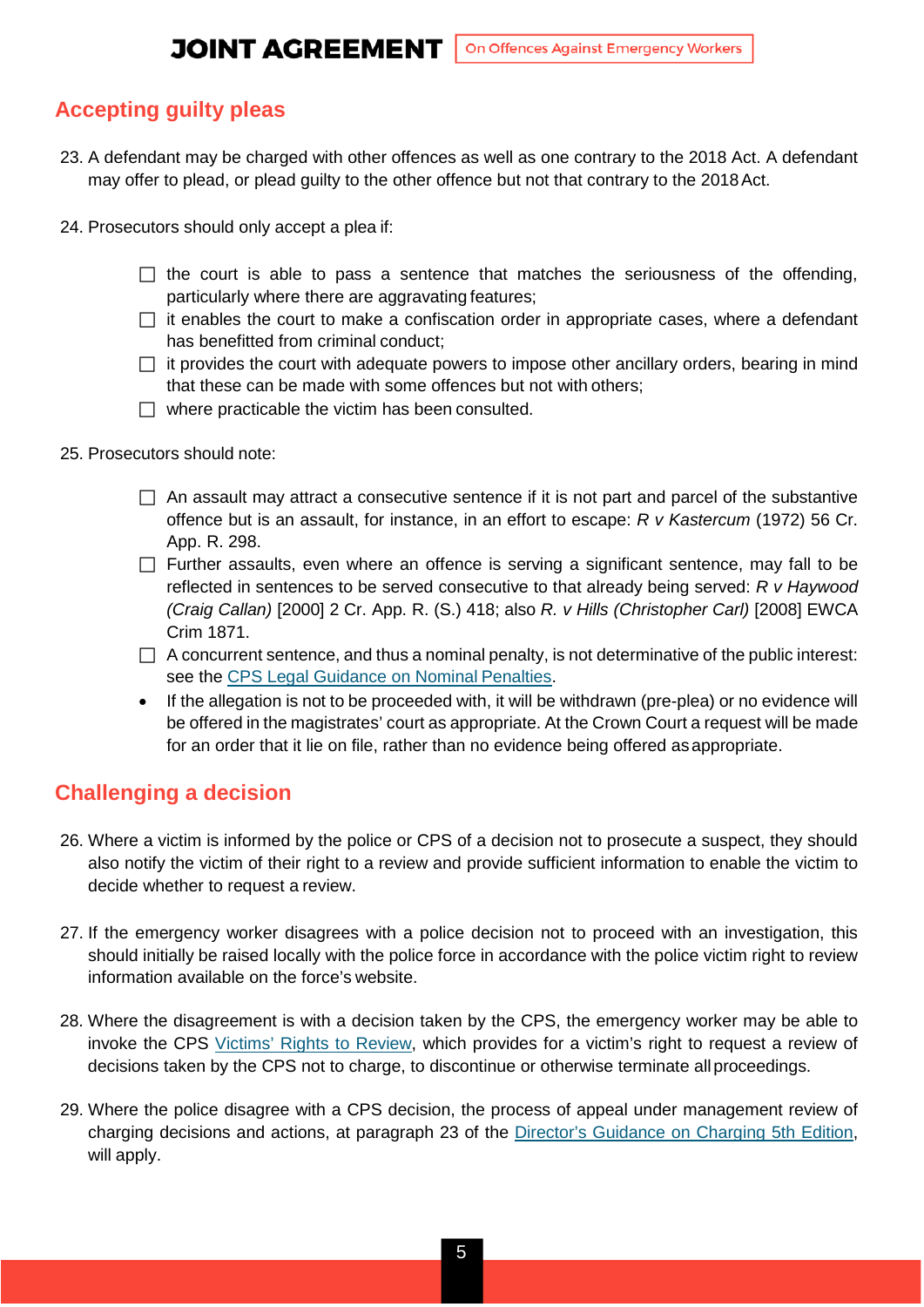**JOINT AGREEMENT** | On Offences Against Emergency Workers

## **Accepting guilty pleas**

- 23. A defendant may be charged with other offences as well as one contrary to the 2018 Act. A defendant may offer to plead, or plead guilty to the other offence but not that contrary to the 2018Act.
- 24. Prosecutors should only accept a plea if:
	- $\Box$  the court is able to pass a sentence that matches the seriousness of the offending, particularly where there are aggravating features;
	- $\Box$  it enables the court to make a confiscation order in appropriate cases, where a defendant has benefitted from criminal conduct;
	- $\Box$  it provides the court with adequate powers to impose other ancillary orders, bearing in mind that these can be made with some offences but not with others;
	- $\Box$  where practicable the victim has been consulted.
- 25. Prosecutors should note:
	- $\Box$  An assault may attract a consecutive sentence if it is not part and parcel of the substantive offence but is an assault, for instance, in an effort to escape: *R v Kastercum* (1972) 56 Cr. App. R. 298.
	- $\Box$  Further assaults, even where an offence is serving a significant sentence, may fall to be reflected in sentences to be served consecutive to that already being served: *R v Haywood (Craig Callan)* [2000] 2 Cr. App. R. (S.) 418; also *R. v Hills (Christopher Carl)* [2008] EWCA Crim 1871.
	- $\Box$  A concurrent sentence, and thus a nominal penalty, is not determinative of the public interest: see the [CPS Legal Guidance on Nominal](https://www.cps.gov.uk/legal-guidance/non-recent-cases-and-nominal-penalties) Penalties.
	- If the allegation is not to be proceeded with, it will be withdrawn (pre-plea) or no evidence will be offered in the magistrates' court as appropriate. At the Crown Court a request will be made for an order that it lie on file, rather than no evidence being offered as appropriate.

## **Challenging a decision**

- 26. Where a victim is informed by the police or CPS of a decision not to prosecute a suspect, they should also notify the victim of their right to a review and provide sufficient information to enable the victim to decide whether to request a review.
- 27. If the emergency worker disagrees with a police decision not to proceed with an investigation, this should initially be raised locally with the police force in accordance with the police victim right to review information available on the force's website.
- 28. Where the disagreement is with a decision taken by the CPS, the emergency worker may be able to invoke the CPS [Victims' Rights to Review,](https://www.cps.gov.uk/legal-guidance/victims-right-review-scheme) which provides for a victim's right to request a review of decisions taken by the CPS not to charge, to discontinue or otherwise terminate all proceedings.
- 29. Where the police disagree with a CPS decision, the process of appeal under management review of charging decisions and actions, at paragraph 23 of the *Director's Guidance on Charging 5th Edition*, will apply.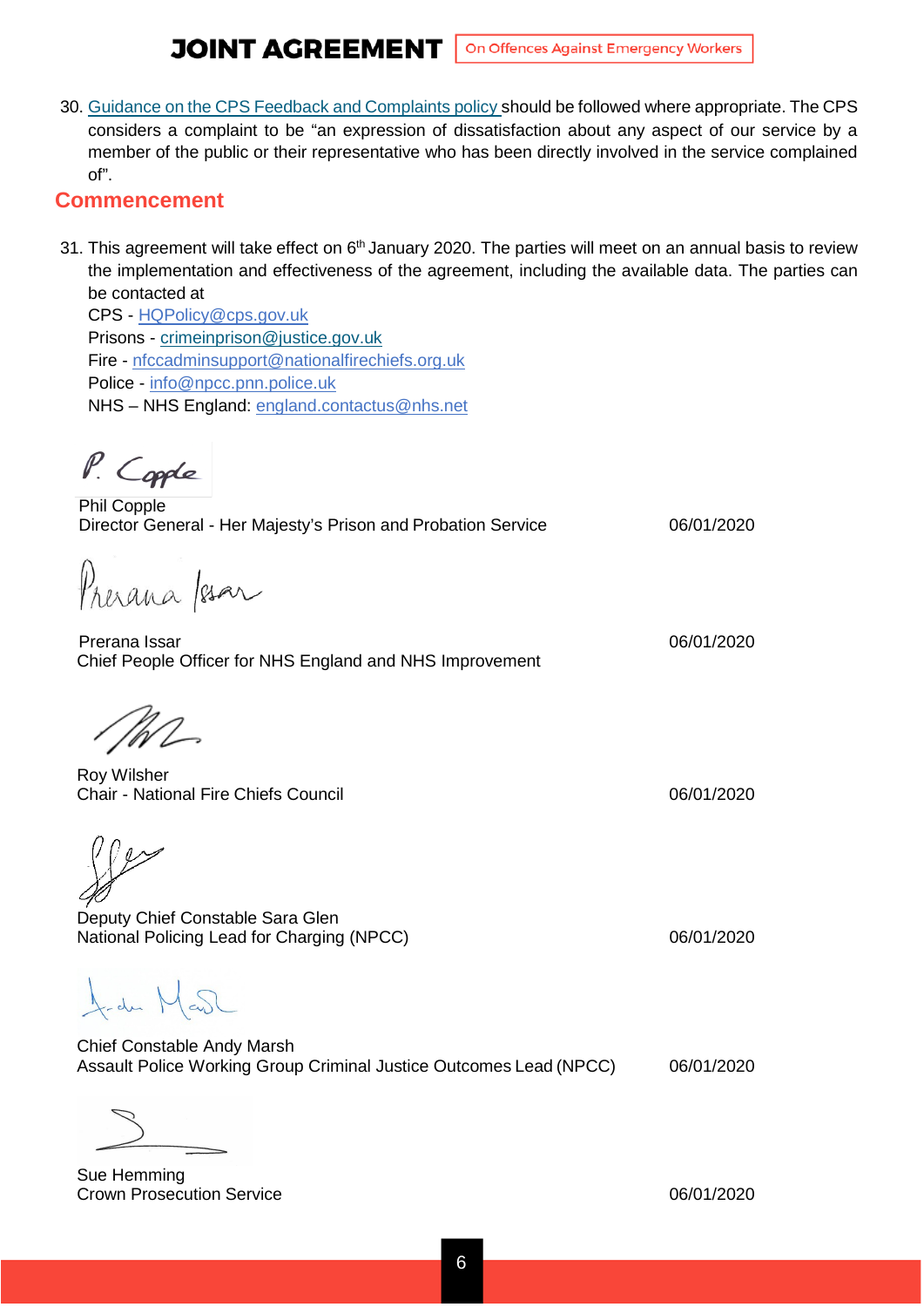30. Guidance on the CPS Feedback and [Complaints](https://www.cps.gov.uk/sites/default/files/documents/publications/Feedback-Complaints-Policy-Jan-2019.pdf) policy should be followed where appropriate. The CPS considers a complaint to be "an expression of dissatisfaction about any aspect of our service by a member of the public or their representative who has been directly involved in the service complained of".

#### **Commencement**

31. This agreement will take effect on  $6<sup>th</sup>$  January 2020. The parties will meet on an annual basis to review the implementation and effectiveness of the agreement, including the available data. The parties can be contacted at

CPS - [HQPolicy@cps.gov.uk](mailto:HQPolicy@cps.gov.uk) Prisons - [crimeinprison@justice.gov.uk](mailto:crimeinprison@justice.gov.uk) Fire - [nfccadminsupport@nationalfirechiefs.org.uk](mailto:nfccadminsupport@nationalfirechiefs.org.uk) Police - [info@npcc.pnn.police.uk](mailto:info@npcc.pnn.police.uk) NHS – NHS England: [england.contactus@nhs.net](mailto:england.contactus@nhs.net)

P. Cople

Phil Copple Director General - Her Majesty's Prison and Probation Service 06/01/2020

Presana /esar

Prerana Issar 06/01/2020 Chief People Officer for NHS England and NHS Improvement

Roy Wilsher Chair - National Fire Chiefs Council 06/01/2020

Deputy Chief Constable Sara Glen National Policing Lead for Charging (NPCC) 06/01/2020

J-de Marl

Chief Constable Andy Marsh Assault Police Working Group Criminal Justice Outcomes Lead (NPCC) 06/01/2020

Sue Hemming Crown Prosecution Service **06/01/2020** 06/01/2020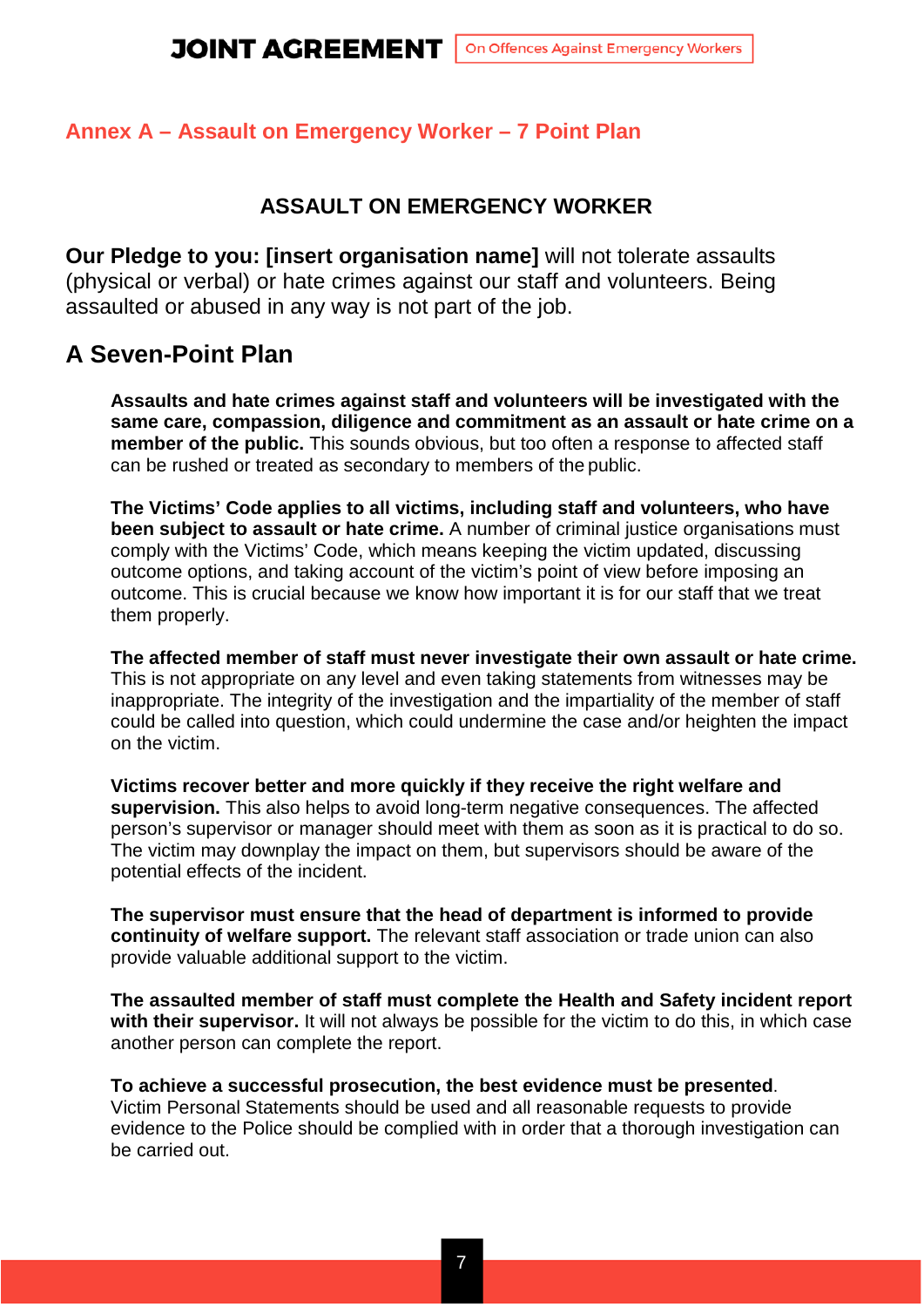#### **Annex A – Assault on Emergency Worker – 7 Point Plan**

#### **ASSAULT ON EMERGENCY WORKER**

**Our Pledge to you: [insert organisation name]** will not tolerate assaults (physical or verbal) or hate crimes against our staff and volunteers. Being assaulted or abused in any way is not part of the job.

## **A Seven-Point Plan**

**Assaults and hate crimes against staff and volunteers will be investigated with the same care, compassion, diligence and commitment as an assault or hate crime on a member of the public.** This sounds obvious, but too often a response to affected staff can be rushed or treated as secondary to members of the public.

**The Victims' Code applies to all victims, including staff and volunteers, who have been subject to assault or hate crime.** A number of criminal justice organisations must comply with the Victims' Code, which means keeping the victim updated, discussing outcome options, and taking account of the victim's point of view before imposing an outcome. This is crucial because we know how important it is for our staff that we treat them properly.

**The affected member of staff must never investigate their own assault or hate crime.**  This is not appropriate on any level and even taking statements from witnesses may be inappropriate. The integrity of the investigation and the impartiality of the member of staff could be called into question, which could undermine the case and/or heighten the impact on the victim.

**Victims recover better and more quickly if they receive the right welfare and supervision.** This also helps to avoid long-term negative consequences. The affected person's supervisor or manager should meet with them as soon as it is practical to do so. The victim may downplay the impact on them, but supervisors should be aware of the potential effects of the incident.

**The supervisor must ensure that the head of department is informed to provide continuity of welfare support.** The relevant staff association or trade union can also provide valuable additional support to the victim.

**The assaulted member of staff must complete the Health and Safety incident report with their supervisor.** It will not always be possible for the victim to do this, in which case another person can complete the report.

**To achieve a successful prosecution, the best evidence must be presented**. Victim Personal Statements should be used and all reasonable requests to provide evidence to the Police should be complied with in order that a thorough investigation can be carried out.

7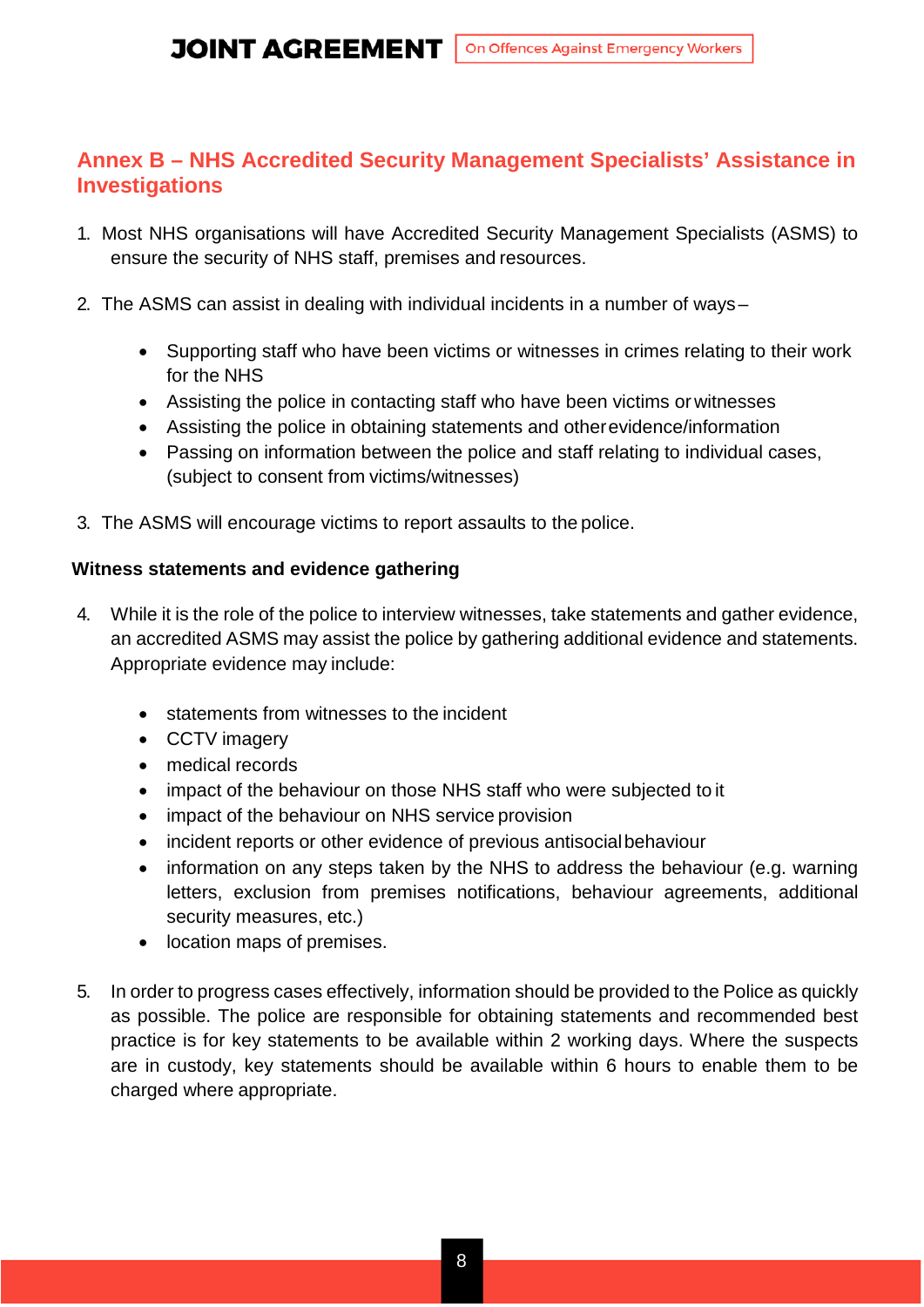## **Annex B – NHS Accredited Security Management Specialists' Assistance in Investigations**

- 1. Most NHS organisations will have Accredited Security Management Specialists (ASMS) to ensure the security of NHS staff, premises and resources.
- 2. The ASMS can assist in dealing with individual incidents in a number of ways–
	- Supporting staff who have been victims or witnesses in crimes relating to their work for the NHS
	- Assisting the police in contacting staff who have been victims or witnesses
	- Assisting the police in obtaining statements and otherevidence/information
	- Passing on information between the police and staff relating to individual cases, (subject to consent from victims/witnesses)
- 3. The ASMS will encourage victims to report assaults to the police.

#### **Witness statements and evidence gathering**

- 4. While it is the role of the police to interview witnesses, take statements and gather evidence, an accredited ASMS may assist the police by gathering additional evidence and statements. Appropriate evidence may include:
	- statements from witnesses to the incident
	- CCTV imagery
	- medical records
	- impact of the behaviour on those NHS staff who were subjected to it
	- impact of the behaviour on NHS service provision
	- incident reports or other evidence of previous antisocialbehaviour
	- information on any steps taken by the NHS to address the behaviour (e.g. warning letters, exclusion from premises notifications, behaviour agreements, additional security measures, etc.)
	- location maps of premises.
- 5. In order to progress cases effectively, information should be provided to the Police as quickly as possible. The police are responsible for obtaining statements and recommended best practice is for key statements to be available within 2 working days. Where the suspects are in custody, key statements should be available within 6 hours to enable them to be charged where appropriate.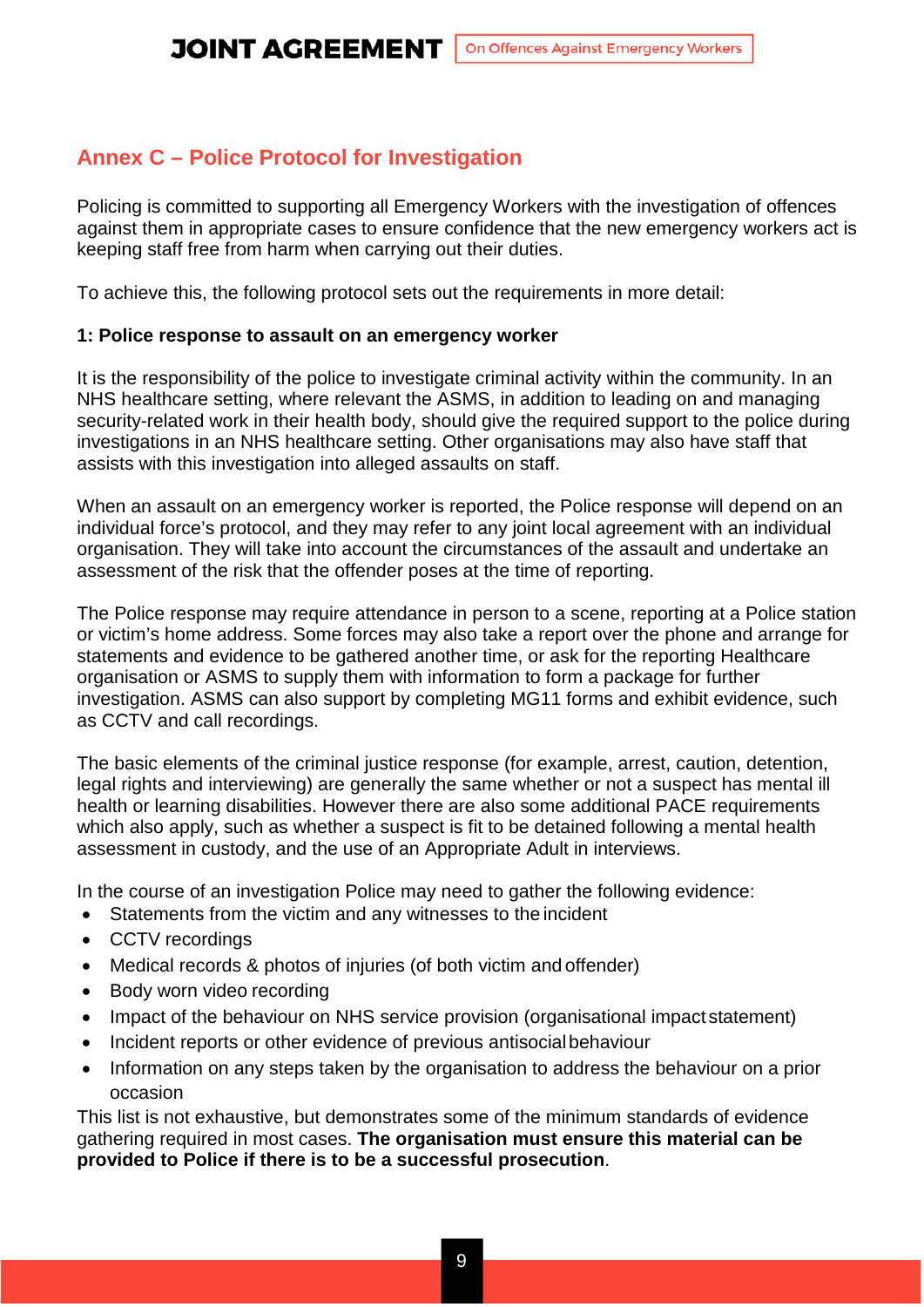## **Annex C – Police Protocol for Investigation**

Policing is committed to supporting all Emergency Workers with the investigation of offences against them in appropriate cases to ensure confidence that the new emergency workers act is keeping staff free from harm when carrying out their duties.

To achieve this, the following protocol sets out the requirements in more detail:

#### **1: Police response to assault on an emergency worker**

It is the responsibility of the police to investigate criminal activity within the community. In an NHS healthcare setting, where relevant the ASMS, in addition to leading on and managing security-related work in their health body, should give the required support to the police during investigations in an NHS healthcare setting. Other organisations may also have staff that assists with this investigation into alleged assaults on staff.

When an assault on an emergency worker is reported, the Police response will depend on an individual force's protocol, and they may refer to any joint local agreement with an individual organisation. They will take into account the circumstances of the assault and undertake an assessment of the risk that the offender poses at the time of reporting.

The Police response may require attendance in person to a scene, reporting at a Police station or victim's home address. Some forces may also take a report over the phone and arrange for statements and evidence to be gathered another time, or ask for the reporting Healthcare organisation or ASMS to supply them with information to form a package for further investigation. ASMS can also support by completing MG11 forms and exhibit evidence, such as CCTV and call recordings.

The basic elements of the criminal justice response (for example, arrest, caution, detention, legal rights and interviewing) are generally the same whether or not a suspect has mental ill health or learning disabilities. However there are also some additional PACE requirements which also apply, such as whether a suspect is fit to be detained following a mental health assessment in custody, and the use of an Appropriate Adult in interviews.

In the course of an investigation Police may need to gather the following evidence:

- Statements from the victim and any witnesses to the incident
- CCTV recordings
- Medical records & photos of injuries (of both victim and offender)
- Body worn video recording
- Impact of the behaviour on NHS service provision (organisational impact statement)
- Incident reports or other evidence of previous antisocialbehaviour
- Information on any steps taken by the organisation to address the behaviour on a prior occasion

This list is not exhaustive, but demonstrates some of the minimum standards of evidence gathering required in most cases. **The organisation must ensure this material can be provided to Police if there is to be a successful prosecution**.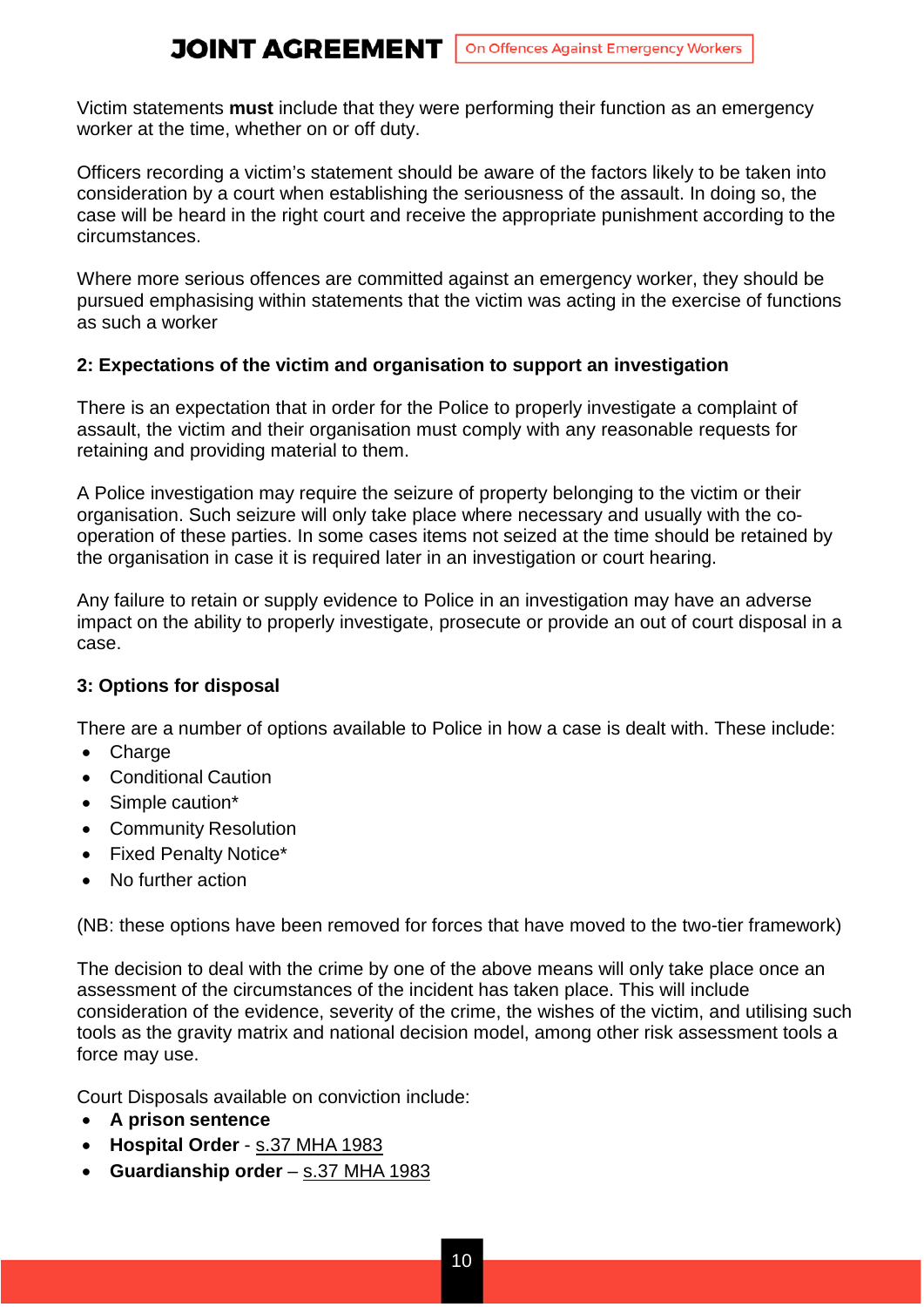Victim statements **must** include that they were performing their function as an emergency worker at the time, whether on or off duty.

Officers recording a victim's statement should be aware of the factors likely to be taken into consideration by a court when establishing the seriousness of the assault. In doing so, the case will be heard in the right court and receive the appropriate punishment according to the circumstances.

Where more serious offences are committed against an emergency worker, they should be pursued emphasising within statements that the victim was acting in the exercise of functions as such a worker

#### **2: Expectations of the victim and organisation to support an investigation**

There is an expectation that in order for the Police to properly investigate a complaint of assault, the victim and their organisation must comply with any reasonable requests for retaining and providing material to them.

A Police investigation may require the seizure of property belonging to the victim or their organisation. Such seizure will only take place where necessary and usually with the cooperation of these parties. In some cases items not seized at the time should be retained by the organisation in case it is required later in an investigation or court hearing.

Any failure to retain or supply evidence to Police in an investigation may have an adverse impact on the ability to properly investigate, prosecute or provide an out of court disposal in a case.

## **3: Options for disposal**

There are a number of options available to Police in how a case is dealt with. These include:

- Charge
- Conditional Caution
- Simple caution\*
- Community Resolution
- Fixed Penalty Notice\*
- No further action

(NB: these options have been removed for forces that have moved to the two-tier framework)

The decision to deal with the crime by one of the above means will only take place once an assessment of the circumstances of the incident has taken place. This will include consideration of the evidence, severity of the crime, the wishes of the victim, and utilising such tools as the gravity matrix and national decision model, among other risk assessment tools a force may use.

Court Disposals available on conviction include:

- **A prison sentence**
- **Hospital Order**  [s.37 MHA](http://www.legislation.gov.uk/ukpga/1983/20/section/37) 1983
- **Guardianship order**  [s.37 MHA](http://www.legislation.gov.uk/ukpga/1983/20/section/37) 1983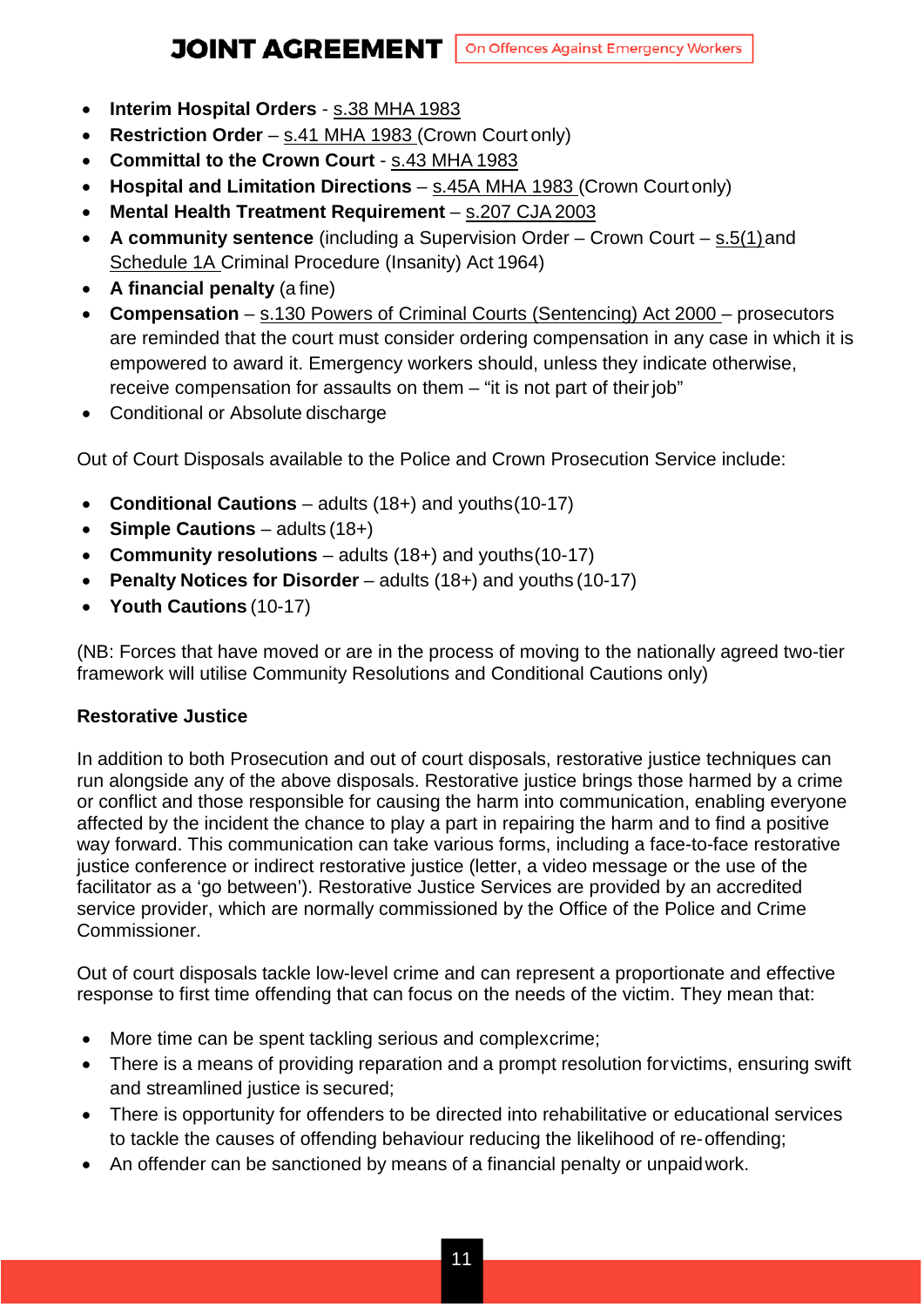**JOINT AGREEMENT** | On Offences Against Emergency Workers

- **Interim Hospital Orders**  [s.38 MHA](http://www.legislation.gov.uk/ukpga/1983/20/section/38) 1983
- **Restriction Order**  [s.41 MHA 1983 \(](http://www.legislation.gov.uk/ukpga/1983/20/section/41)Crown Court only)
- **Committal to the Crown Court**  [s.43 MHA](http://www.legislation.gov.uk/ukpga/1983/20/section/43) 1983
- **Hospital and Limitation Directions**  [s.45A MHA 1983 \(](http://www.legislation.gov.uk/ukpga/1983/20/section/45A)Crown Court only)
- **Mental Health Treatment Requirement**  [s.207 CJA2003](http://www.legislation.gov.uk/ukpga/2003/44/section/207)
- **A community sentence** (including a Supervision Order Crown Court [s.5\(1\)a](http://www.legislation.gov.uk/ukpga/1964/84/section/5)nd [Schedule 1A C](http://www.legislation.gov.uk/ukpga/1964/84/schedule/1A)riminal Procedure (Insanity) Act 1964)
- **A financial penalty** (a fine)
- **Compensation** [s.130 Powers of Criminal Courts \(Sentencing\) Act 2000 –](http://www.legislation.gov.uk/ukpga/2000/6/section/130) prosecutors are reminded that the court must consider ordering compensation in any case in which it is empowered to award it. Emergency workers should, unless they indicate otherwise, receive compensation for assaults on them – "it is not part of theirjob"
- Conditional or Absolute discharge

Out of Court Disposals available to the Police and Crown Prosecution Service include:

- **Conditional Cautions**  adults (18+) and youths(10-17)
- **Simple Cautions**  adults (18+)
- **Community resolutions**  adults (18+) and youths(10-17)
- **Penalty Notices for Disorder** adults (18+) and youths (10-17)
- **Youth Cautions** (10-17)

(NB: Forces that have moved or are in the process of moving to the nationally agreed two-tier framework will utilise Community Resolutions and Conditional Cautions only)

#### **Restorative Justice**

In addition to both Prosecution and out of court disposals, restorative justice techniques can run alongside any of the above disposals. Restorative justice brings those harmed by a crime or conflict and those responsible for causing the harm into communication, enabling everyone affected by the incident the chance to play a part in repairing the harm and to find a positive way forward. This communication can take various forms, including a face-to-face restorative justice conference or indirect restorative justice (letter, a video message or the use of the facilitator as a 'go between'). Restorative Justice Services are provided by an accredited service provider, which are normally commissioned by the Office of the Police and Crime Commissioner.

Out of court disposals tackle low-level crime and can represent a proportionate and effective response to first time offending that can focus on the needs of the victim. They mean that:

- More time can be spent tackling serious and complexcrime;
- There is a means of providing reparation and a prompt resolution forvictims, ensuring swift and streamlined justice is secured;
- There is opportunity for offenders to be directed into rehabilitative or educational services to tackle the causes of offending behaviour reducing the likelihood of re-offending;
- An offender can be sanctioned by means of a financial penalty or unpaidwork.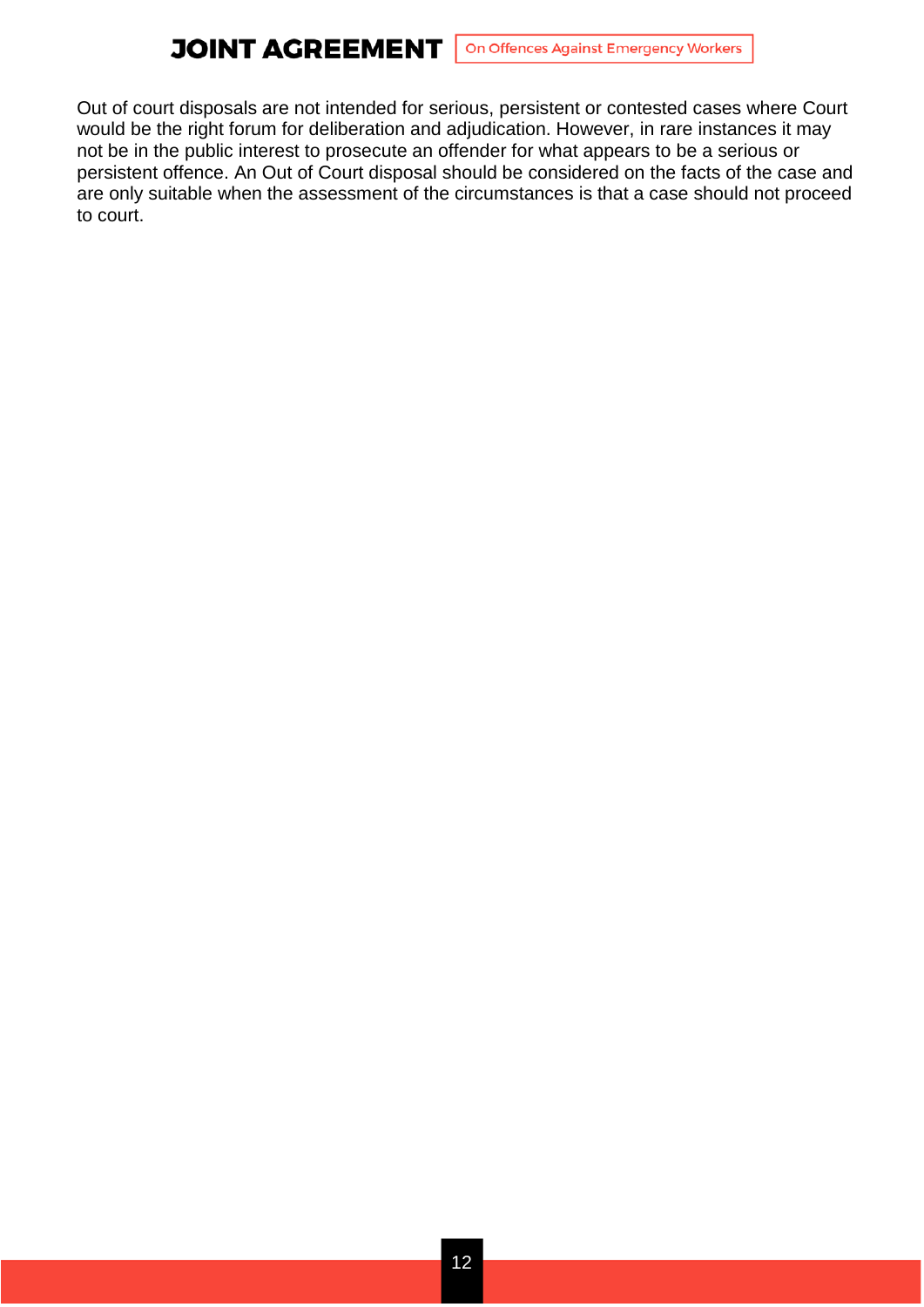Out of court disposals are not intended for serious, persistent or contested cases where Court would be the right forum for deliberation and adjudication. However, in rare instances it may not be in the public interest to prosecute an offender for what appears to be a serious or persistent offence. An Out of Court disposal should be considered on the facts of the case and are only suitable when the assessment of the circumstances is that a case should not proceed to court.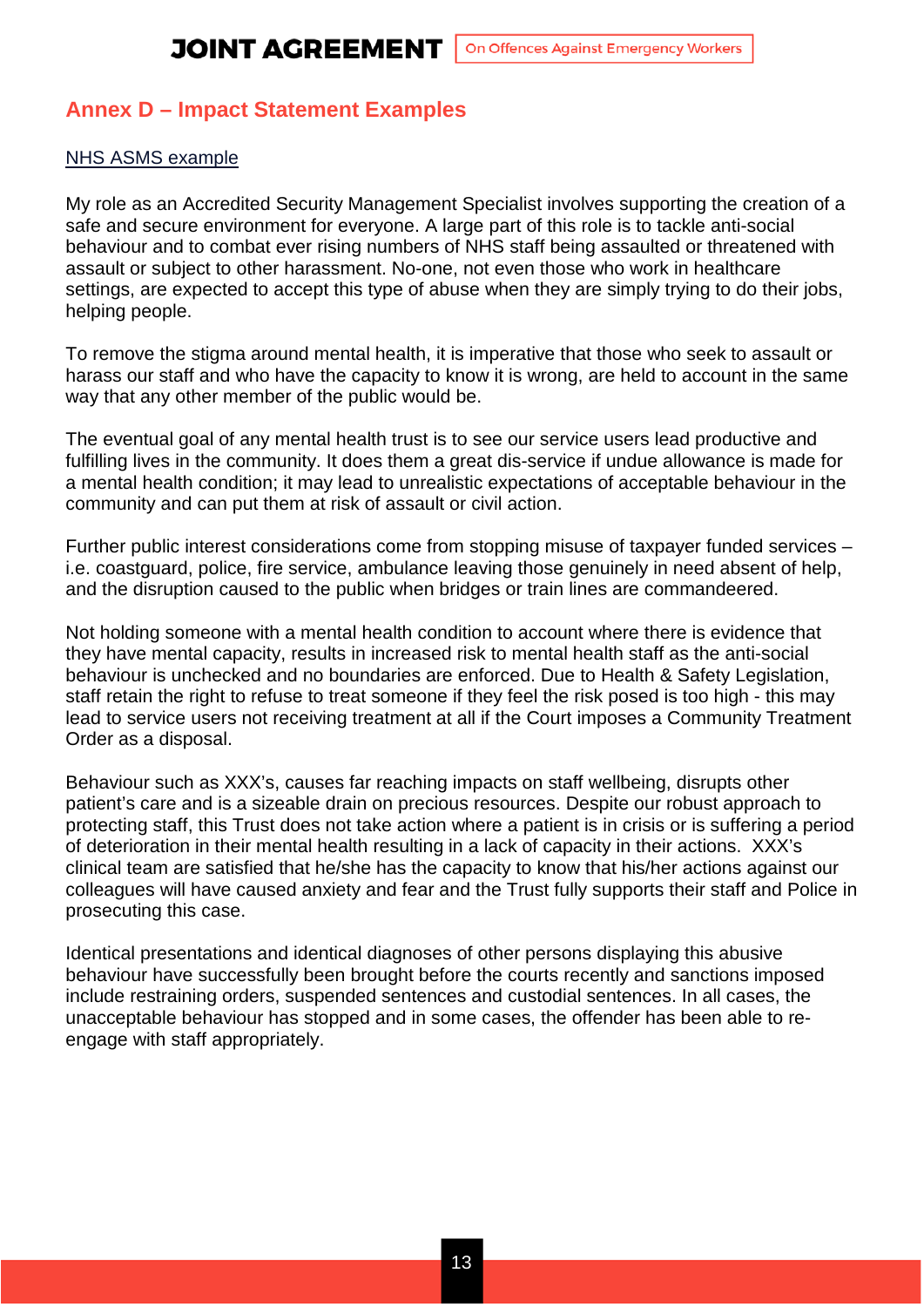## **Annex D – Impact Statement Examples**

#### NHS ASMS example

My role as an Accredited Security Management Specialist involves supporting the creation of a safe and secure environment for everyone. A large part of this role is to tackle anti-social behaviour and to combat ever rising numbers of NHS staff being assaulted or threatened with assault or subject to other harassment. No-one, not even those who work in healthcare settings, are expected to accept this type of abuse when they are simply trying to do their jobs, helping people.

To remove the stigma around mental health, it is imperative that those who seek to assault or harass our staff and who have the capacity to know it is wrong, are held to account in the same way that any other member of the public would be.

The eventual goal of any mental health trust is to see our service users lead productive and fulfilling lives in the community. It does them a great dis-service if undue allowance is made for a mental health condition; it may lead to unrealistic expectations of acceptable behaviour in the community and can put them at risk of assault or civil action.

Further public interest considerations come from stopping misuse of taxpayer funded services – i.e. coastguard, police, fire service, ambulance leaving those genuinely in need absent of help, and the disruption caused to the public when bridges or train lines are commandeered.

Not holding someone with a mental health condition to account where there is evidence that they have mental capacity, results in increased risk to mental health staff as the anti-social behaviour is unchecked and no boundaries are enforced. Due to Health & Safety Legislation, staff retain the right to refuse to treat someone if they feel the risk posed is too high - this may lead to service users not receiving treatment at all if the Court imposes a Community Treatment Order as a disposal.

Behaviour such as XXX's, causes far reaching impacts on staff wellbeing, disrupts other patient's care and is a sizeable drain on precious resources. Despite our robust approach to protecting staff, this Trust does not take action where a patient is in crisis or is suffering a period of deterioration in their mental health resulting in a lack of capacity in their actions. XXX's clinical team are satisfied that he/she has the capacity to know that his/her actions against our colleagues will have caused anxiety and fear and the Trust fully supports their staff and Police in prosecuting this case.

Identical presentations and identical diagnoses of other persons displaying this abusive behaviour have successfully been brought before the courts recently and sanctions imposed include restraining orders, suspended sentences and custodial sentences. In all cases, the unacceptable behaviour has stopped and in some cases, the offender has been able to reengage with staff appropriately.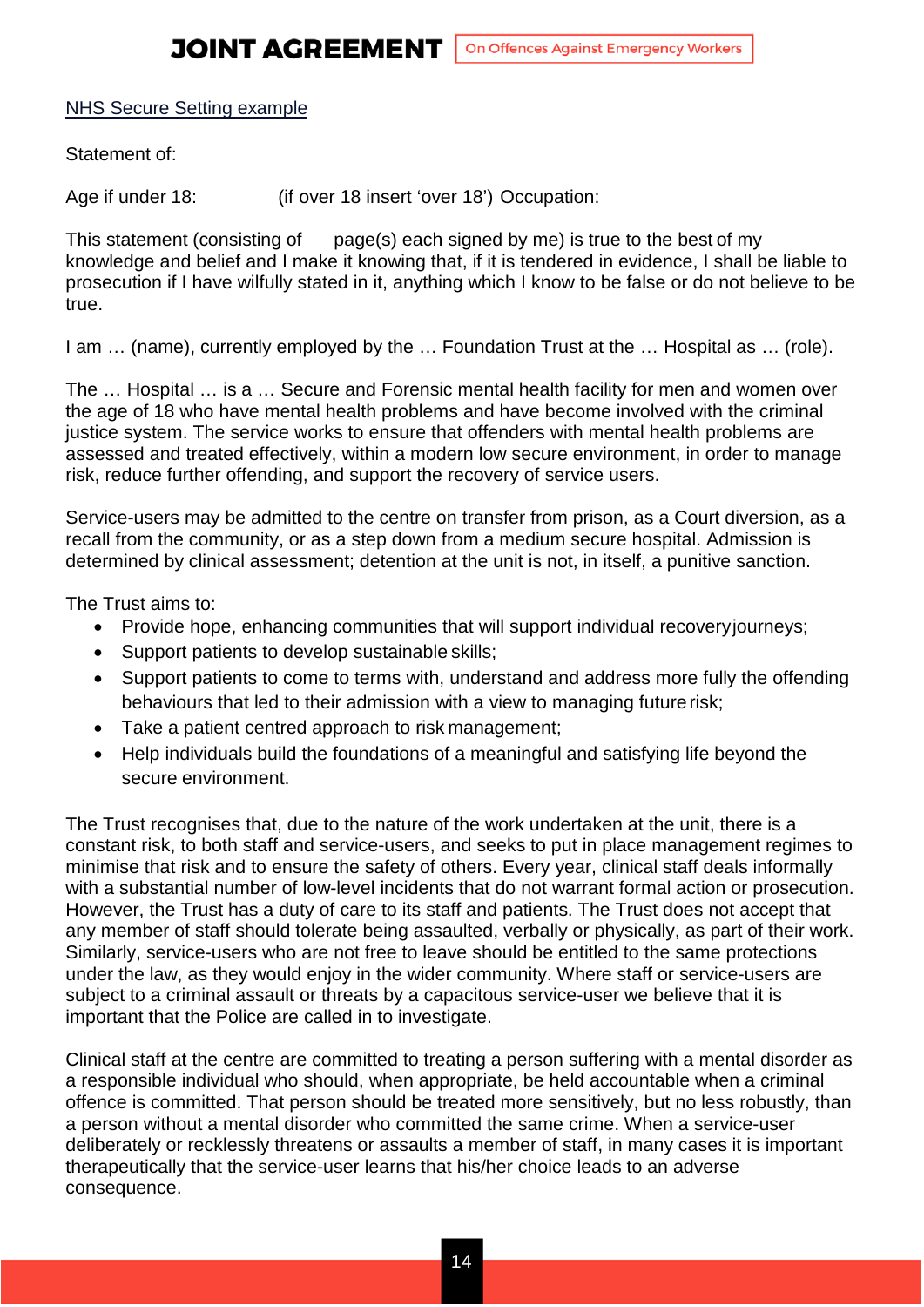NHS Secure Setting example

Statement of:

Age if under 18: (if over 18 insert 'over 18') Occupation:

This statement (consisting of page(s) each signed by me) is true to the best of my knowledge and belief and I make it knowing that, if it is tendered in evidence, I shall be liable to prosecution if I have wilfully stated in it, anything which I know to be false or do not believe to be true.

I am … (name), currently employed by the … Foundation Trust at the … Hospital as … (role).

The … Hospital … is a … Secure and Forensic mental health facility for men and women over the age of 18 who have mental health problems and have become involved with the criminal justice system. The service works to ensure that offenders with mental health problems are assessed and treated effectively, within a modern low secure environment, in order to manage risk, reduce further offending, and support the recovery of service users.

Service-users may be admitted to the centre on transfer from prison, as a Court diversion, as a recall from the community, or as a step down from a medium secure hospital. Admission is determined by clinical assessment; detention at the unit is not, in itself, a punitive sanction.

The Trust aims to:

- Provide hope, enhancing communities that will support individual recoveryjourneys;
- Support patients to develop sustainable skills;
- Support patients to come to terms with, understand and address more fully the offending behaviours that led to their admission with a view to managing futurerisk;
- Take a patient centred approach to risk management;
- Help individuals build the foundations of a meaningful and satisfying life beyond the secure environment.

The Trust recognises that, due to the nature of the work undertaken at the unit, there is a constant risk, to both staff and service-users, and seeks to put in place management regimes to minimise that risk and to ensure the safety of others. Every year, clinical staff deals informally with a substantial number of low-level incidents that do not warrant formal action or prosecution. However, the Trust has a duty of care to its staff and patients. The Trust does not accept that any member of staff should tolerate being assaulted, verbally or physically, as part of their work. Similarly, service-users who are not free to leave should be entitled to the same protections under the law, as they would enjoy in the wider community. Where staff or service-users are subject to a criminal assault or threats by a capacitous service-user we believe that it is important that the Police are called in to investigate.

Clinical staff at the centre are committed to treating a person suffering with a mental disorder as a responsible individual who should, when appropriate, be held accountable when a criminal offence is committed. That person should be treated more sensitively, but no less robustly, than a person without a mental disorder who committed the same crime. When a service-user deliberately or recklessly threatens or assaults a member of staff, in many cases it is important therapeutically that the service-user learns that his/her choice leads to an adverse consequence.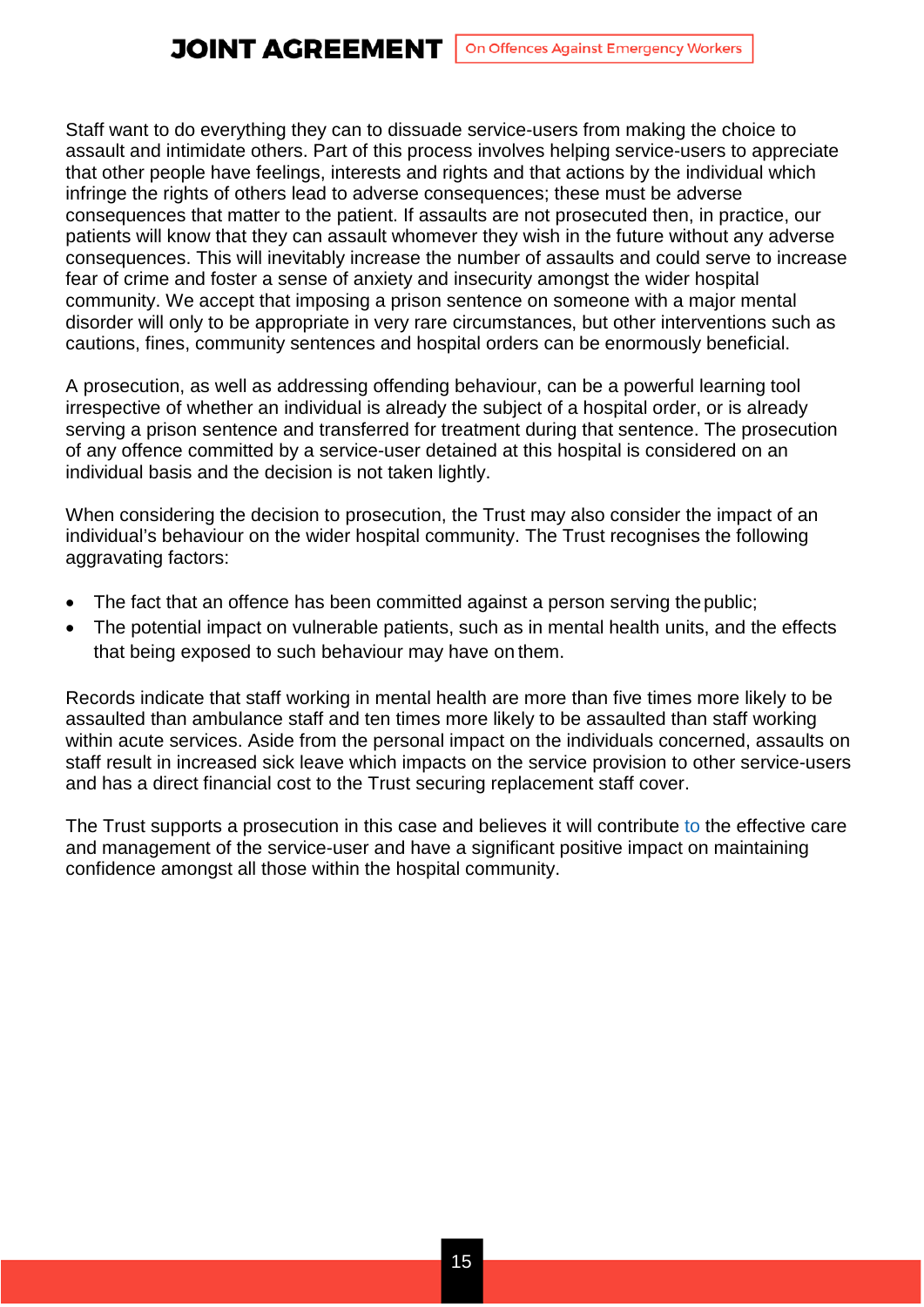Staff want to do everything they can to dissuade service-users from making the choice to assault and intimidate others. Part of this process involves helping service-users to appreciate that other people have feelings, interests and rights and that actions by the individual which infringe the rights of others lead to adverse consequences; these must be adverse consequences that matter to the patient. If assaults are not prosecuted then, in practice, our patients will know that they can assault whomever they wish in the future without any adverse consequences. This will inevitably increase the number of assaults and could serve to increase fear of crime and foster a sense of anxiety and insecurity amongst the wider hospital community. We accept that imposing a prison sentence on someone with a major mental disorder will only to be appropriate in very rare circumstances, but other interventions such as cautions, fines, community sentences and hospital orders can be enormously beneficial.

A prosecution, as well as addressing offending behaviour, can be a powerful learning tool irrespective of whether an individual is already the subject of a hospital order, or is already serving a prison sentence and transferred for treatment during that sentence. The prosecution of any offence committed by a service-user detained at this hospital is considered on an individual basis and the decision is not taken lightly.

When considering the decision to prosecution, the Trust may also consider the impact of an individual's behaviour on the wider hospital community. The Trust recognises the following aggravating factors:

- The fact that an offence has been committed against a person serving the public;
- The potential impact on vulnerable patients, such as in mental health units, and the effects that being exposed to such behaviour may have on them.

Records indicate that staff working in mental health are more than five times more likely to be assaulted than ambulance staff and ten times more likely to be assaulted than staff working within acute services. Aside from the personal impact on the individuals concerned, assaults on staff result in increased sick leave which impacts on the service provision to other service-users and has a direct financial cost to the Trust securing replacement staff cover.

The Trust supports a prosecution in this case and believes it will contribute to the effective care and management of the service-user and have a significant positive impact on maintaining confidence amongst all those within the hospital community.